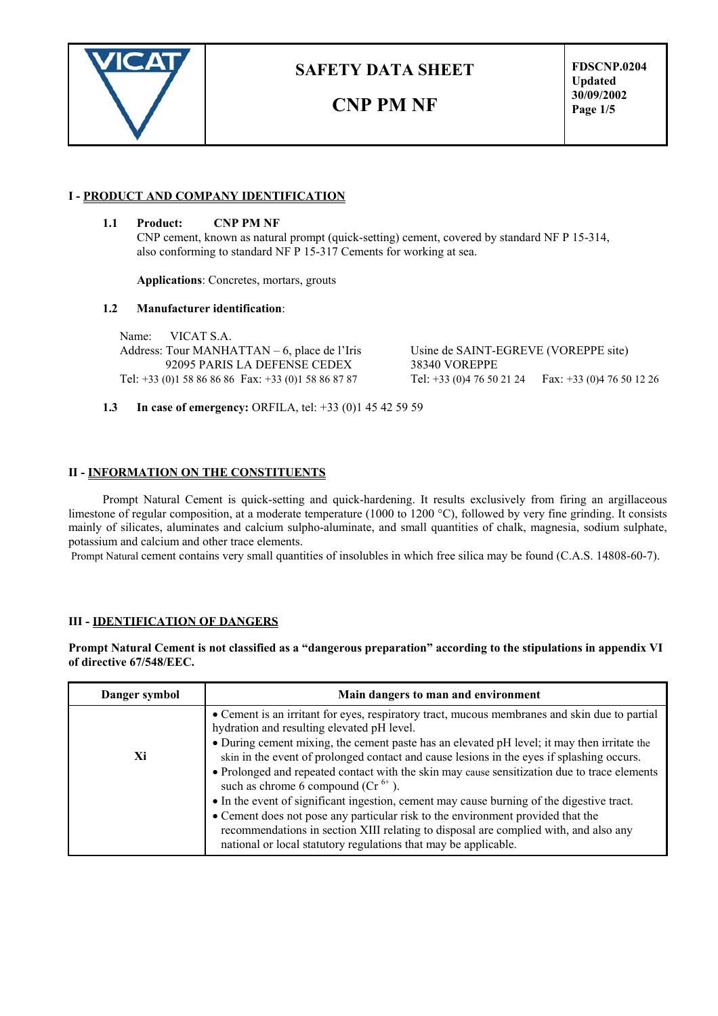

# **CNP PM NF**

**FDSCNP.0204 Updated 30/09/2002 Page 1/5**

### **I - PRODUCT AND COMPANY IDENTIFICATION**

#### **1.1 Product: CNP PM NF**

CNP cement, known as natural prompt (quick-setting) cement, covered by standard NF P 15-314, also conforming to standard NF P 15-317 Cements for working at sea.

**Applications**: Concretes, mortars, grouts

#### **1.2 Manufacturer identification**:

Name: VICAT S.A. Address: Tour MANHATTAN – 6, place de l'Iris Usine de SAINT-EGREVE (VOREPPE site) 92095 PARIS LA DEFENSE CEDEX 38340 VOREPPE Tel: +33 (0)1 58 86 86 86 Fax: +33 (0)1 58 86 87 87 Tel: +33 (0)4 76 50 21 24 Fax: +33 (0)4 76 50 12 26

**1.3 In case of emergency:** ORFILA, tel: +33 (0)1 45 42 59 59

#### **II - INFORMATION ON THE CONSTITUENTS**

Prompt Natural Cement is quick-setting and quick-hardening. It results exclusively from firing an argillaceous limestone of regular composition, at a moderate temperature (1000 to 1200 °C), followed by very fine grinding. It consists mainly of silicates, aluminates and calcium sulpho-aluminate, and small quantities of chalk, magnesia, sodium sulphate, potassium and calcium and other trace elements.

Prompt Natural cement contains very small quantities of insolubles in which free silica may be found (C.A.S. 14808-60-7).

#### **III - IDENTIFICATION OF DANGERS**

**Prompt Natural Cement is not classified as a "dangerous preparation" according to the stipulations in appendix VI of directive 67/548/EEC.**

| Danger symbol | Main dangers to man and environment                                                                                                                                                                                                                                                                                                                                                                                                                                                                                                                                                                                                                                                                                                                                                                                            |  |
|---------------|--------------------------------------------------------------------------------------------------------------------------------------------------------------------------------------------------------------------------------------------------------------------------------------------------------------------------------------------------------------------------------------------------------------------------------------------------------------------------------------------------------------------------------------------------------------------------------------------------------------------------------------------------------------------------------------------------------------------------------------------------------------------------------------------------------------------------------|--|
| Xi            | • Cement is an irritant for eyes, respiratory tract, mucous membranes and skin due to partial<br>hydration and resulting elevated pH level.<br>• During cement mixing, the cement paste has an elevated pH level; it may then irritate the<br>skin in the event of prolonged contact and cause lesions in the eyes if splashing occurs.<br>• Prolonged and repeated contact with the skin may cause sensitization due to trace elements<br>such as chrome 6 compound ( $Cr^{6+}$ ).<br>• In the event of significant ingestion, cement may cause burning of the digestive tract.<br>• Cement does not pose any particular risk to the environment provided that the<br>recommendations in section XIII relating to disposal are complied with, and also any<br>national or local statutory regulations that may be applicable. |  |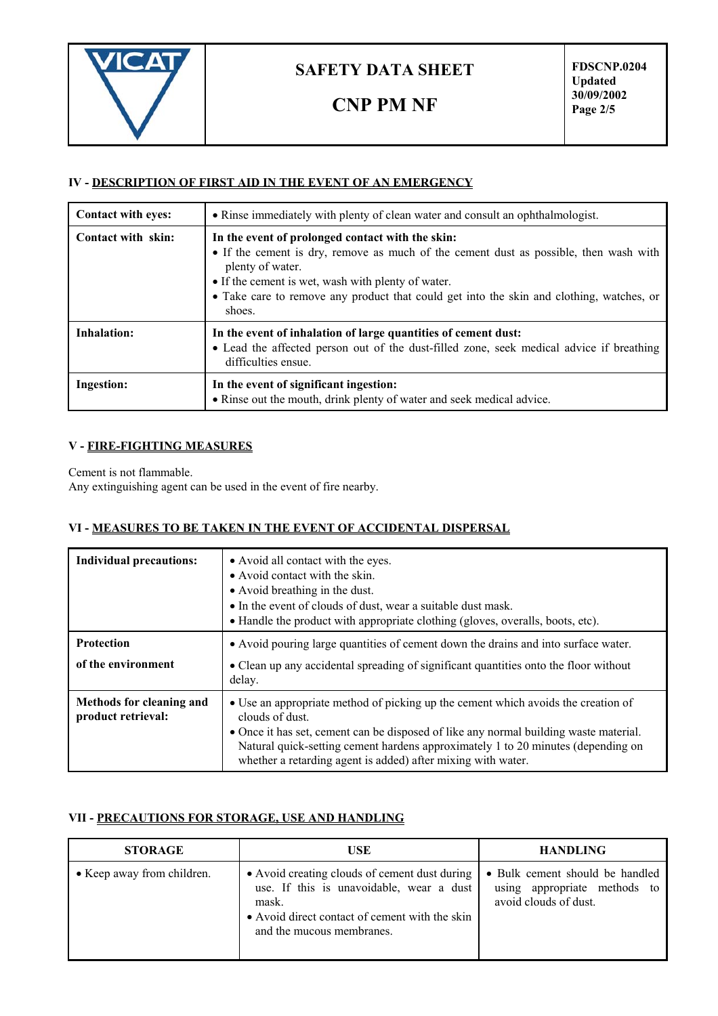

**CNP PM NF**

## **IV - DESCRIPTION OF FIRST AID IN THE EVENT OF AN EMERGENCY**

| <b>Contact with eyes:</b> | • Rinse immediately with plenty of clean water and consult an ophthalmologist.                                                                                                                                                                                                                                            |  |
|---------------------------|---------------------------------------------------------------------------------------------------------------------------------------------------------------------------------------------------------------------------------------------------------------------------------------------------------------------------|--|
| <b>Contact with skin:</b> | In the event of prolonged contact with the skin:<br>• If the cement is dry, remove as much of the cement dust as possible, then wash with<br>plenty of water.<br>• If the cement is wet, wash with plenty of water.<br>• Take care to remove any product that could get into the skin and clothing, watches, or<br>shoes. |  |
| <b>Inhalation:</b>        | In the event of inhalation of large quantities of cement dust:<br>• Lead the affected person out of the dust-filled zone, seek medical advice if breathing<br>difficulties ensue.                                                                                                                                         |  |
| <b>Ingestion:</b>         | In the event of significant ingestion:<br>• Rinse out the mouth, drink plenty of water and seek medical advice.                                                                                                                                                                                                           |  |

### **V - FIRE-FIGHTING MEASURES**

Cement is not flammable.

Any extinguishing agent can be used in the event of fire nearby.

## **VI - MEASURES TO BE TAKEN IN THE EVENT OF ACCIDENTAL DISPERSAL**

| <b>Individual precautions:</b>                 | • Avoid all contact with the eyes.<br>• Avoid contact with the skin.<br>• Avoid breathing in the dust.<br>• In the event of clouds of dust, wear a suitable dust mask.<br>• Handle the product with appropriate clothing (gloves, overalls, boots, etc).                                                                                          |  |
|------------------------------------------------|---------------------------------------------------------------------------------------------------------------------------------------------------------------------------------------------------------------------------------------------------------------------------------------------------------------------------------------------------|--|
| <b>Protection</b>                              | • Avoid pouring large quantities of cement down the drains and into surface water.                                                                                                                                                                                                                                                                |  |
| of the environment                             | • Clean up any accidental spreading of significant quantities onto the floor without<br>delay.                                                                                                                                                                                                                                                    |  |
| Methods for cleaning and<br>product retrieval: | • Use an appropriate method of picking up the cement which avoids the creation of<br>clouds of dust.<br>• Once it has set, cement can be disposed of like any normal building waste material.<br>Natural quick-setting cement hardens approximately 1 to 20 minutes (depending on<br>whether a retarding agent is added) after mixing with water. |  |

## **VII - PRECAUTIONS FOR STORAGE, USE AND HANDLING**

| <b>STORAGE</b>             | USE                                                                                                                                                                               | <b>HANDLING</b>                                                                          |
|----------------------------|-----------------------------------------------------------------------------------------------------------------------------------------------------------------------------------|------------------------------------------------------------------------------------------|
| • Keep away from children. | • Avoid creating clouds of cement dust during<br>use. If this is unavoidable, wear a dust<br>mask.<br>• Avoid direct contact of cement with the skin<br>and the mucous membranes. | • Bulk cement should be handled<br>using appropriate methods to<br>avoid clouds of dust. |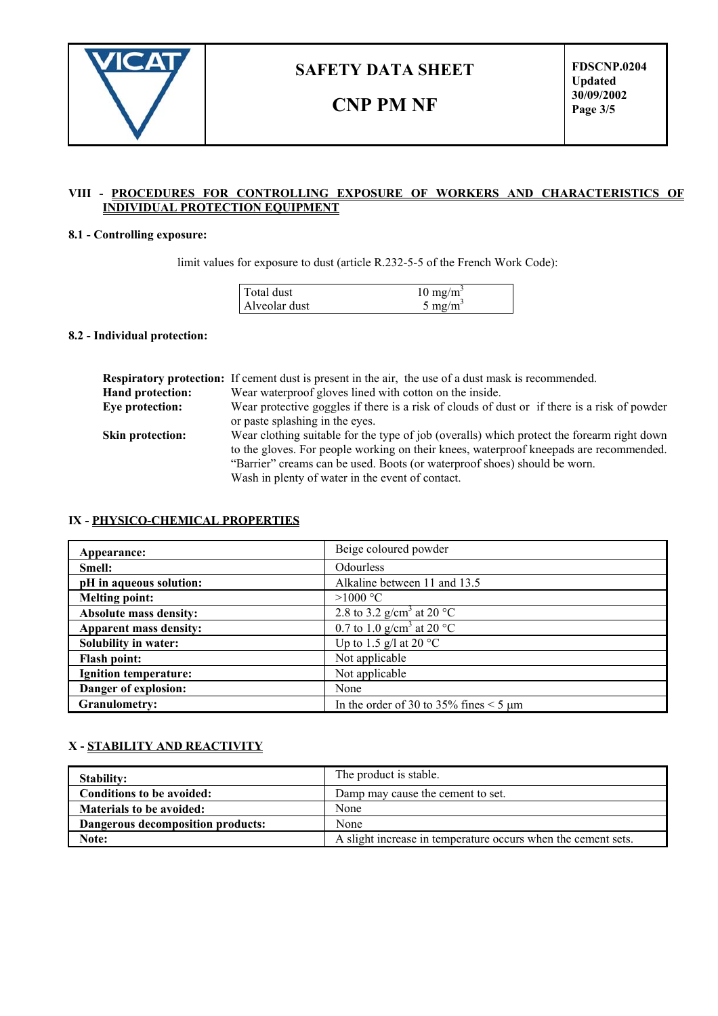

# **CNP PM NF**

**FDSCNP.0204 Updated 30/09/2002 Page 3/5**

#### **VIII - PROCEDURES FOR CONTROLLING EXPOSURE OF WORKERS AND CHARACTERISTICS OF INDIVIDUAL PROTECTION EQUIPMENT**

### **8.1 - Controlling exposure:**

limit values for exposure to dust (article R.232-5-5 of the French Work Code):

| Total dust    | $10 \text{ mg/m}^3$ |
|---------------|---------------------|
| Alveolar dust | $5 \text{ mg/m}^3$  |

#### **8.2 - Individual protection:**

|                         | <b>Respiratory protection:</b> If cement dust is present in the air, the use of a dust mask is recommended.                                                                                                                                                                                                           |  |  |
|-------------------------|-----------------------------------------------------------------------------------------------------------------------------------------------------------------------------------------------------------------------------------------------------------------------------------------------------------------------|--|--|
| Hand protection:        | Wear waterproof gloves lined with cotton on the inside.                                                                                                                                                                                                                                                               |  |  |
| Eye protection:         | Wear protective goggles if there is a risk of clouds of dust or if there is a risk of powder<br>or paste splashing in the eyes.                                                                                                                                                                                       |  |  |
| <b>Skin protection:</b> | Wear clothing suitable for the type of job (overalls) which protect the forearm right down<br>to the gloves. For people working on their knees, waterproof kneepads are recommended.<br>"Barrier" creams can be used. Boots (or waterproof shoes) should be worn.<br>Wash in plenty of water in the event of contact. |  |  |

### **IX - PHYSICO-CHEMICAL PROPERTIES**

| Appearance:                   | Beige coloured powder                       |
|-------------------------------|---------------------------------------------|
| Smell:                        | Odourless                                   |
| pH in aqueous solution:       | Alkaline between 11 and 13.5                |
| <b>Melting point:</b>         | $>1000$ °C                                  |
| <b>Absolute mass density:</b> | 2.8 to 3.2 g/cm <sup>3</sup> at 20 °C       |
| Apparent mass density:        | 0.7 to 1.0 g/cm <sup>3</sup> at 20 °C       |
| Solubility in water:          | Up to 1.5 g/l at 20 $^{\circ}$ C            |
| <b>Flash point:</b>           | Not applicable                              |
| Ignition temperature:         | Not applicable                              |
| Danger of explosion:          | None                                        |
| <b>Granulometry:</b>          | In the order of 30 to 35% fines $\leq$ 5 µm |

### **X - STABILITY AND REACTIVITY**

| <b>Stability:</b>                 | The product is stable.                                        |
|-----------------------------------|---------------------------------------------------------------|
| Conditions to be avoided:         | Damp may cause the cement to set.                             |
| <b>Materials to be avoided:</b>   | None                                                          |
| Dangerous decomposition products: | None                                                          |
| Note:                             | A slight increase in temperature occurs when the cement sets. |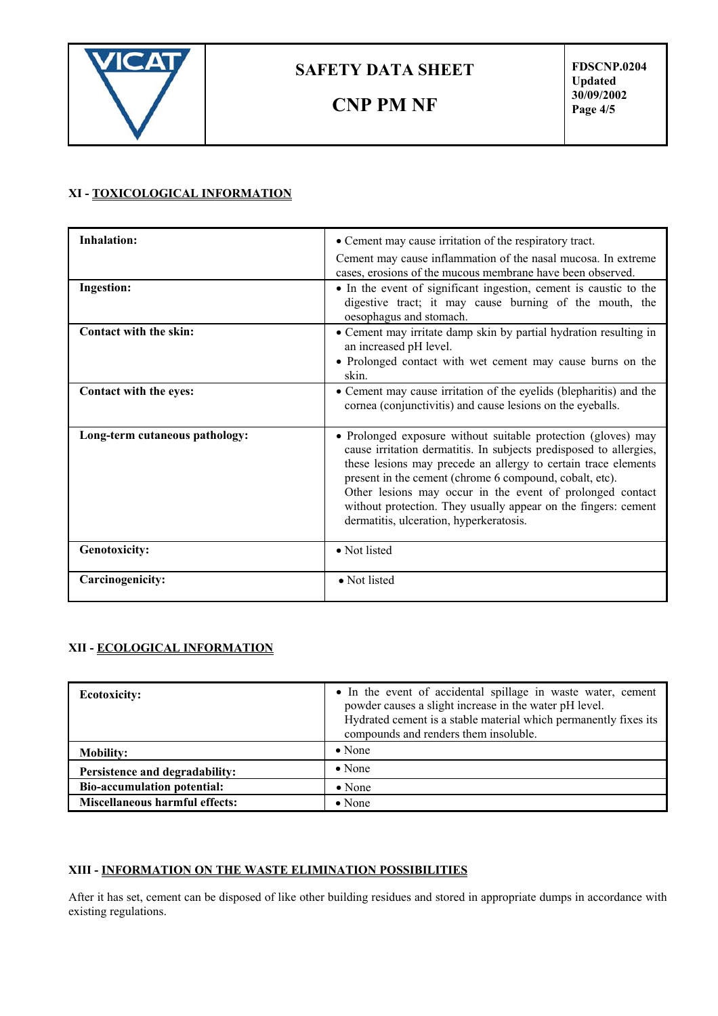

**CNP PM NF**

**FDSCNP.0204 Updated 30/09/2002 Page 4/5**

## **XI - TOXICOLOGICAL INFORMATION**

| <b>Inhalation:</b>             | • Cement may cause irritation of the respiratory tract.                                                                                                                                                                                                                                                                                                                                                                                    |
|--------------------------------|--------------------------------------------------------------------------------------------------------------------------------------------------------------------------------------------------------------------------------------------------------------------------------------------------------------------------------------------------------------------------------------------------------------------------------------------|
|                                | Cement may cause inflammation of the nasal mucosa. In extreme<br>cases, erosions of the mucous membrane have been observed.                                                                                                                                                                                                                                                                                                                |
| <b>Ingestion:</b>              | • In the event of significant ingestion, cement is caustic to the<br>digestive tract; it may cause burning of the mouth, the<br>oesophagus and stomach.                                                                                                                                                                                                                                                                                    |
| Contact with the skin:         | • Cement may irritate damp skin by partial hydration resulting in<br>an increased pH level.<br>• Prolonged contact with wet cement may cause burns on the<br>skin.                                                                                                                                                                                                                                                                         |
| Contact with the eyes:         | • Cement may cause irritation of the eyelids (blepharitis) and the<br>cornea (conjunctivitis) and cause lesions on the eyeballs.                                                                                                                                                                                                                                                                                                           |
| Long-term cutaneous pathology: | • Prolonged exposure without suitable protection (gloves) may<br>cause irritation dermatitis. In subjects predisposed to allergies,<br>these lesions may precede an allergy to certain trace elements<br>present in the cement (chrome 6 compound, cobalt, etc).<br>Other lesions may occur in the event of prolonged contact<br>without protection. They usually appear on the fingers: cement<br>dermatitis, ulceration, hyperkeratosis. |
| <b>Genotoxicity:</b>           | • Not listed                                                                                                                                                                                                                                                                                                                                                                                                                               |
| Carcinogenicity:               | • Not listed                                                                                                                                                                                                                                                                                                                                                                                                                               |

### **XII - ECOLOGICAL INFORMATION**

| <b>Ecotoxicity:</b>                   | • In the event of accidental spillage in waste water, cement<br>powder causes a slight increase in the water pH level.<br>Hydrated cement is a stable material which permanently fixes its<br>compounds and renders them insoluble. |
|---------------------------------------|-------------------------------------------------------------------------------------------------------------------------------------------------------------------------------------------------------------------------------------|
| <b>Mobility:</b>                      | $\bullet$ None                                                                                                                                                                                                                      |
| Persistence and degradability:        | $\bullet$ None                                                                                                                                                                                                                      |
| <b>Bio-accumulation potential:</b>    | $\bullet$ None                                                                                                                                                                                                                      |
| <b>Miscellaneous harmful effects:</b> | $\bullet$ None                                                                                                                                                                                                                      |

## **XIII - INFORMATION ON THE WASTE ELIMINATION POSSIBILITIES**

After it has set, cement can be disposed of like other building residues and stored in appropriate dumps in accordance with existing regulations.